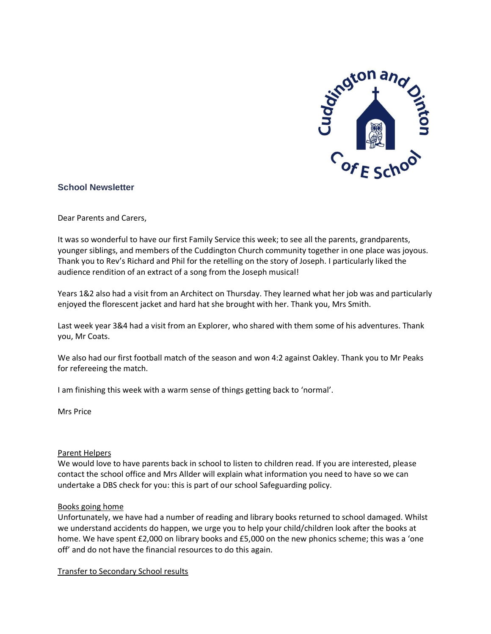

# **School Newsletter**

Dear Parents and Carers,

It was so wonderful to have our first Family Service this week; to see all the parents, grandparents, younger siblings, and members of the Cuddington Church community together in one place was joyous. Thank you to Rev's Richard and Phil for the retelling on the story of Joseph. I particularly liked the audience rendition of an extract of a song from the Joseph musical!

Years 1&2 also had a visit from an Architect on Thursday. They learned what her job was and particularly enjoyed the florescent jacket and hard hat she brought with her. Thank you, Mrs Smith.

Last week year 3&4 had a visit from an Explorer, who shared with them some of his adventures. Thank you, Mr Coats.

We also had our first football match of the season and won 4:2 against Oakley. Thank you to Mr Peaks for refereeing the match.

I am finishing this week with a warm sense of things getting back to 'normal'.

Mrs Price

#### Parent Helpers

We would love to have parents back in school to listen to children read. If you are interested, please contact the school office and Mrs Allder will explain what information you need to have so we can undertake a DBS check for you: this is part of our school Safeguarding policy.

#### Books going home

Unfortunately, we have had a number of reading and library books returned to school damaged. Whilst we understand accidents do happen, we urge you to help your child/children look after the books at home. We have spent £2,000 on library books and £5,000 on the new phonics scheme; this was a 'one off' and do not have the financial resources to do this again.

Transfer to Secondary School results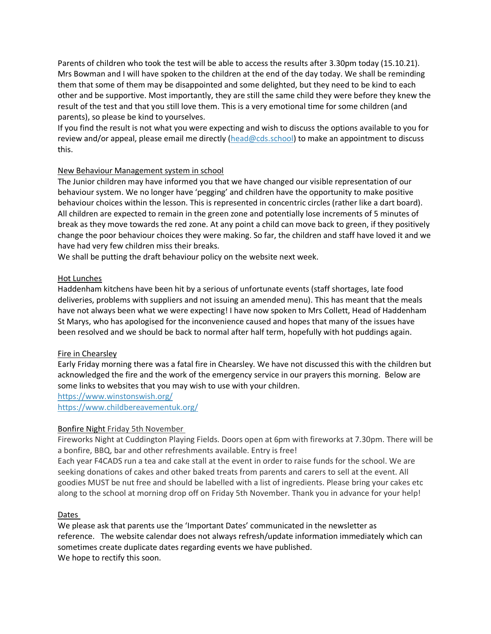Parents of children who took the test will be able to access the results after 3.30pm today (15.10.21). Mrs Bowman and I will have spoken to the children at the end of the day today. We shall be reminding them that some of them may be disappointed and some delighted, but they need to be kind to each other and be supportive. Most importantly, they are still the same child they were before they knew the result of the test and that you still love them. This is a very emotional time for some children (and parents), so please be kind to yourselves.

If you find the result is not what you were expecting and wish to discuss the options available to you for review and/or appeal, please email me directly ( $head@cds.school$ ) to make an appointment to discuss this.

### New Behaviour Management system in school

The Junior children may have informed you that we have changed our visible representation of our behaviour system. We no longer have 'pegging' and children have the opportunity to make positive behaviour choices within the lesson. This is represented in concentric circles (rather like a dart board). All children are expected to remain in the green zone and potentially lose increments of 5 minutes of break as they move towards the red zone. At any point a child can move back to green, if they positively change the poor behaviour choices they were making. So far, the children and staff have loved it and we have had very few children miss their breaks.

We shall be putting the draft behaviour policy on the website next week.

### Hot Lunches

Haddenham kitchens have been hit by a serious of unfortunate events (staff shortages, late food deliveries, problems with suppliers and not issuing an amended menu). This has meant that the meals have not always been what we were expecting! I have now spoken to Mrs Collett, Head of Haddenham St Marys, who has apologised for the inconvenience caused and hopes that many of the issues have been resolved and we should be back to normal after half term, hopefully with hot puddings again.

# Fire in Chearsley

Early Friday morning there was a fatal fire in Chearsley. We have not discussed this with the children but acknowledged the fire and the work of the emergency service in our prayers this morning. Below are some links to websites that you may wish to use with your children.

<https://www.winstonswish.org/> <https://www.childbereavementuk.org/>

# Bonfire Night Friday 5th November

Fireworks Night at Cuddington Playing Fields. Doors open at 6pm with fireworks at 7.30pm. There will be a bonfire, BBQ, bar and other refreshments available. Entry is free!

Each year F4CADS run a tea and cake stall at the event in order to raise funds for the school. We are seeking donations of cakes and other baked treats from parents and carers to sell at the event. All goodies MUST be nut free and should be labelled with a list of ingredients. Please bring your cakes etc along to the school at morning drop off on Friday 5th November. Thank you in advance for your help!

# Dates

We please ask that parents use the 'Important Dates' communicated in the newsletter as reference. The website calendar does not always refresh/update information immediately which can sometimes create duplicate dates regarding events we have published. We hope to rectify this soon.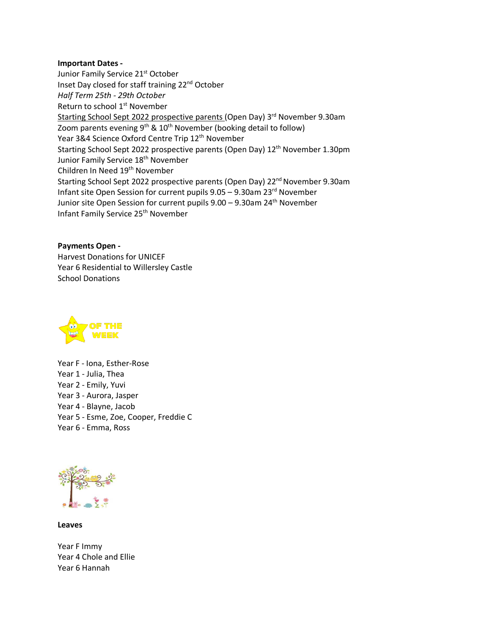#### **Important Dates -**

Junior Family Service 21<sup>st</sup> October Inset Day closed for staff training 22<sup>nd</sup> October *Half Term 25th - 29th October* Return to school 1<sup>st</sup> November Starting School Sept 2022 prospective parents (Open Day) 3<sup>rd</sup> November 9.30am Zoom parents evening  $9^{th}$  &  $10^{th}$  November (booking detail to follow) Year 3&4 Science Oxford Centre Trip 12<sup>th</sup> November Starting School Sept 2022 prospective parents (Open Day) 12<sup>th</sup> November 1.30pm Junior Family Service 18<sup>th</sup> November Children In Need 19<sup>th</sup> November Starting School Sept 2022 prospective parents (Open Day) 22<sup>nd</sup> November 9.30am Infant site Open Session for current pupils 9.05 – 9.30am 23rd November Junior site Open Session for current pupils 9.00 – 9.30am 24<sup>th</sup> November Infant Family Service 25<sup>th</sup> November

**Payments Open -** Harvest Donations for UNICEF Year 6 Residential to Willersley Castle School Donations



Year F - Iona, Esther-Rose Year 1 - Julia, Thea Year 2 - Emily, Yuvi Year 3 - Aurora, Jasper Year 4 - Blayne, Jacob Year 5 - Esme, Zoe, Cooper, Freddie C Year 6 - Emma, Ross



**Leaves**

Year F Immy Year 4 Chole and Ellie Year 6 Hannah